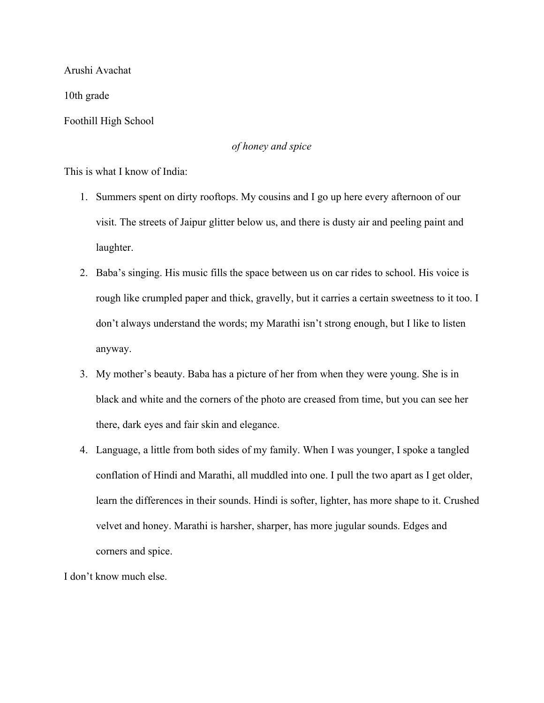Arushi Avachat

10th grade

Foothill High School

## *of honey and spice*

This is what I know of India:

- 1. Summers spent on dirty rooftops. My cousins and I go up here every afternoon of our visit. The streets of Jaipur glitter below us, and there is dusty air and peeling paint and laughter.
- 2. Baba's singing. His music fills the space between us on car rides to school. His voice is rough like crumpled paper and thick, gravelly, but it carries a certain sweetness to it too. I don't always understand the words; my Marathi isn't strong enough, but I like to listen anyway.
- 3. My mother's beauty. Baba has a picture of her from when they were young. She is in black and white and the corners of the photo are creased from time, but you can see her there, dark eyes and fair skin and elegance.
- 4. Language, a little from both sides of my family. When I was younger, I spoke a tangled conflation of Hindi and Marathi, all muddled into one. I pull the two apart as I get older, learn the differences in their sounds. Hindi is softer, lighter, has more shape to it. Crushed velvet and honey. Marathi is harsher, sharper, has more jugular sounds. Edges and corners and spice.

I don't know much else.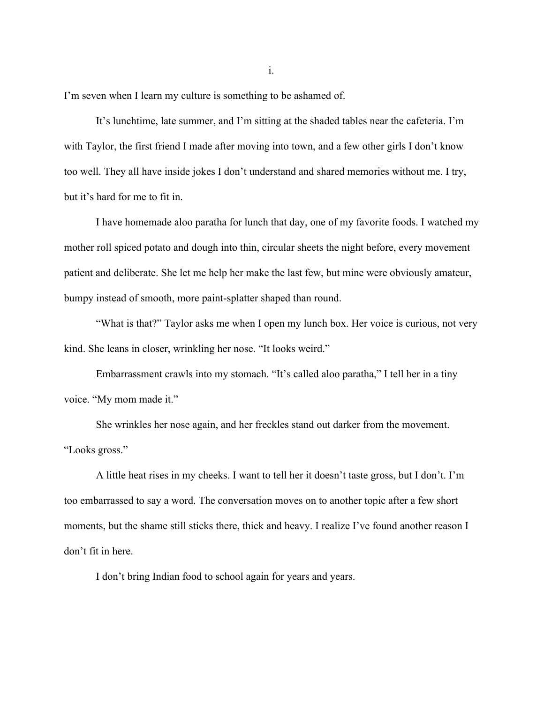I'm seven when I learn my culture is something to be ashamed of.

It's lunchtime, late summer, and I'm sitting at the shaded tables near the cafeteria. I'm with Taylor, the first friend I made after moving into town, and a few other girls I don't know too well. They all have inside jokes I don't understand and shared memories without me. I try, but it's hard for me to fit in.

I have homemade aloo paratha for lunch that day, one of my favorite foods. I watched my mother roll spiced potato and dough into thin, circular sheets the night before, every movement patient and deliberate. She let me help her make the last few, but mine were obviously amateur, bumpy instead of smooth, more paint-splatter shaped than round.

"What is that?" Taylor asks me when I open my lunch box. Her voice is curious, not very kind. She leans in closer, wrinkling her nose. "It looks weird."

Embarrassment crawls into my stomach. "It's called aloo paratha," I tell her in a tiny voice. "My mom made it."

She wrinkles her nose again, and her freckles stand out darker from the movement. "Looks gross."

A little heat rises in my cheeks. I want to tell her it doesn't taste gross, but I don't. I'm too embarrassed to say a word. The conversation moves on to another topic after a few short moments, but the shame still sticks there, thick and heavy. I realize I've found another reason I don't fit in here.

I don't bring Indian food to school again for years and years.

i.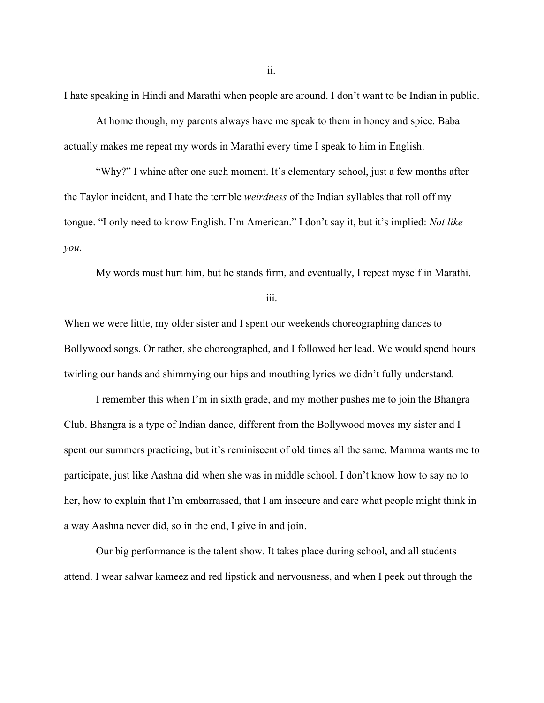I hate speaking in Hindi and Marathi when people are around. I don't want to be Indian in public.

At home though, my parents always have me speak to them in honey and spice. Baba actually makes me repeat my words in Marathi every time I speak to him in English.

"Why?" I whine after one such moment. It's elementary school, just a few months after the Taylor incident, and I hate the terrible *weirdness* of the Indian syllables that roll off my tongue. "I only need to know English. I'm American." I don't say it, but it's implied: *Not like you*.

My words must hurt him, but he stands firm, and eventually, I repeat myself in Marathi.

iii.

When we were little, my older sister and I spent our weekends choreographing dances to Bollywood songs. Or rather, she choreographed, and I followed her lead. We would spend hours twirling our hands and shimmying our hips and mouthing lyrics we didn't fully understand.

I remember this when I'm in sixth grade, and my mother pushes me to join the Bhangra Club. Bhangra is a type of Indian dance, different from the Bollywood moves my sister and I spent our summers practicing, but it's reminiscent of old times all the same. Mamma wants me to participate, just like Aashna did when she was in middle school. I don't know how to say no to her, how to explain that I'm embarrassed, that I am insecure and care what people might think in a way Aashna never did, so in the end, I give in and join.

Our big performance is the talent show. It takes place during school, and all students attend. I wear salwar kameez and red lipstick and nervousness, and when I peek out through the

ii.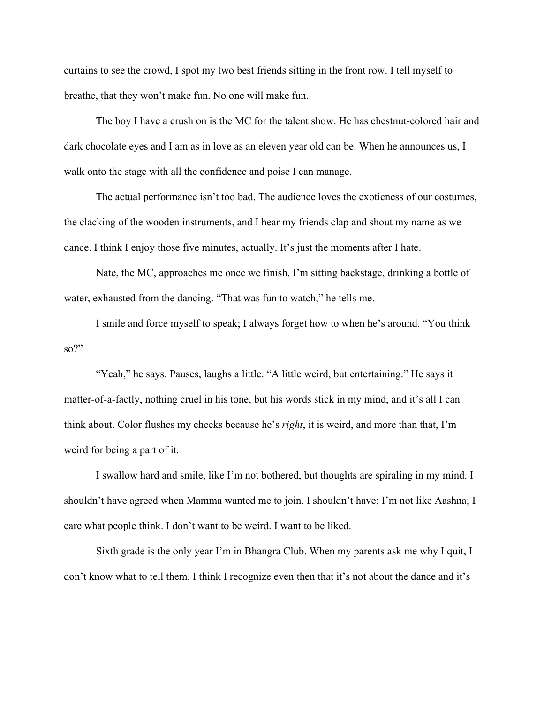curtains to see the crowd, I spot my two best friends sitting in the front row. I tell myself to breathe, that they won't make fun. No one will make fun.

The boy I have a crush on is the MC for the talent show. He has chestnut-colored hair and dark chocolate eyes and I am as in love as an eleven year old can be. When he announces us, I walk onto the stage with all the confidence and poise I can manage.

The actual performance isn't too bad. The audience loves the exoticness of our costumes, the clacking of the wooden instruments, and I hear my friends clap and shout my name as we dance. I think I enjoy those five minutes, actually. It's just the moments after I hate.

Nate, the MC, approaches me once we finish. I'm sitting backstage, drinking a bottle of water, exhausted from the dancing. "That was fun to watch," he tells me.

I smile and force myself to speak; I always forget how to when he's around. "You think so?"

"Yeah," he says. Pauses, laughs a little. "A little weird, but entertaining." He says it matter-of-a-factly, nothing cruel in his tone, but his words stick in my mind, and it's all I can think about. Color flushes my cheeks because he's *right*, it is weird, and more than that, I'm weird for being a part of it.

I swallow hard and smile, like I'm not bothered, but thoughts are spiraling in my mind. I shouldn't have agreed when Mamma wanted me to join. I shouldn't have; I'm not like Aashna; I care what people think. I don't want to be weird. I want to be liked.

Sixth grade is the only year I'm in Bhangra Club. When my parents ask me why I quit, I don't know what to tell them. I think I recognize even then that it's not about the dance and it's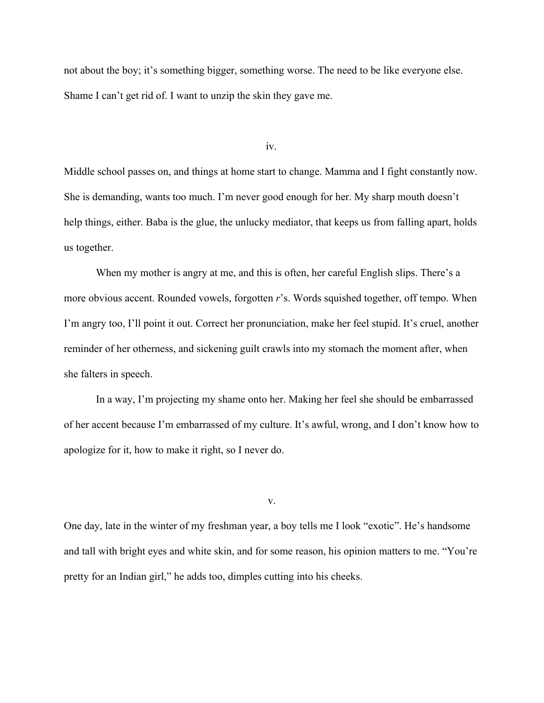not about the boy; it's something bigger, something worse. The need to be like everyone else. Shame I can't get rid of. I want to unzip the skin they gave me.

iv.

Middle school passes on, and things at home start to change. Mamma and I fight constantly now. She is demanding, wants too much. I'm never good enough for her. My sharp mouth doesn't help things, either. Baba is the glue, the unlucky mediator, that keeps us from falling apart, holds us together.

When my mother is angry at me, and this is often, her careful English slips. There's a more obvious accent. Rounded vowels, forgotten *r*'s. Words squished together, off tempo. When I'm angry too, I'll point it out. Correct her pronunciation, make her feel stupid. It's cruel, another reminder of her otherness, and sickening guilt crawls into my stomach the moment after, when she falters in speech.

In a way, I'm projecting my shame onto her. Making her feel she should be embarrassed of her accent because I'm embarrassed of my culture. It's awful, wrong, and I don't know how to apologize for it, how to make it right, so I never do.

v.

One day, late in the winter of my freshman year, a boy tells me I look "exotic". He's handsome and tall with bright eyes and white skin, and for some reason, his opinion matters to me. "You're pretty for an Indian girl," he adds too, dimples cutting into his cheeks.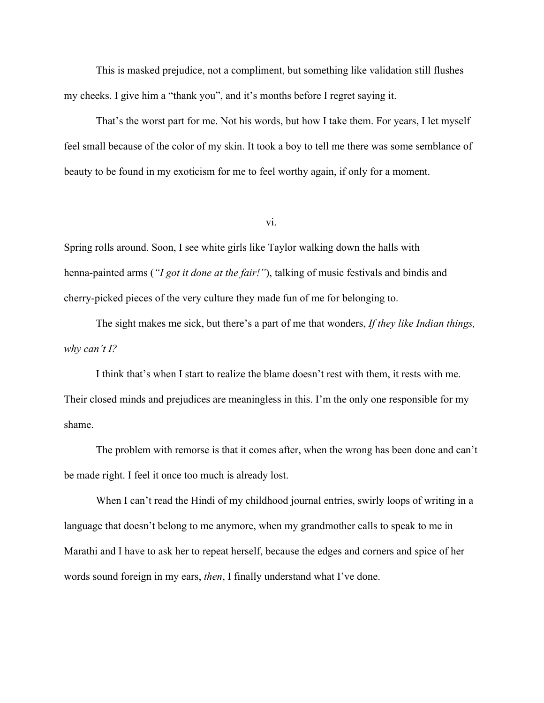This is masked prejudice, not a compliment, but something like validation still flushes my cheeks. I give him a "thank you", and it's months before I regret saying it.

That's the worst part for me. Not his words, but how I take them. For years, I let myself feel small because of the color of my skin. It took a boy to tell me there was some semblance of beauty to be found in my exoticism for me to feel worthy again, if only for a moment.

vi.

Spring rolls around. Soon, I see white girls like Taylor walking down the halls with henna-painted arms (*"I got it done at the fair!"*), talking of music festivals and bindis and cherry-picked pieces of the very culture they made fun of me for belonging to.

The sight makes me sick, but there's a part of me that wonders, *If they like Indian things, why can't I?*

I think that's when I start to realize the blame doesn't rest with them, it rests with me. Their closed minds and prejudices are meaningless in this. I'm the only one responsible for my shame.

The problem with remorse is that it comes after, when the wrong has been done and can't be made right. I feel it once too much is already lost.

When I can't read the Hindi of my childhood journal entries, swirly loops of writing in a language that doesn't belong to me anymore, when my grandmother calls to speak to me in Marathi and I have to ask her to repeat herself, because the edges and corners and spice of her words sound foreign in my ears, *then*, I finally understand what I've done.